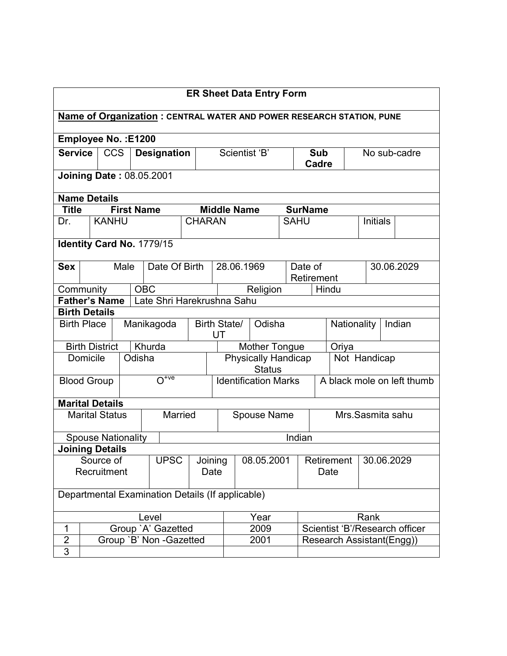| <b>ER Sheet Data Entry Form</b>                                      |                           |                                                              |  |            |                                                  |         |               |                                                           |                                                      |                    |            |                     |                                |                           |                 |  |              |
|----------------------------------------------------------------------|---------------------------|--------------------------------------------------------------|--|------------|--------------------------------------------------|---------|---------------|-----------------------------------------------------------|------------------------------------------------------|--------------------|------------|---------------------|--------------------------------|---------------------------|-----------------|--|--------------|
| Name of Organization: CENTRAL WATER AND POWER RESEARCH STATION, PUNE |                           |                                                              |  |            |                                                  |         |               |                                                           |                                                      |                    |            |                     |                                |                           |                 |  |              |
| Employee No.: E1200                                                  |                           |                                                              |  |            |                                                  |         |               |                                                           |                                                      |                    |            |                     |                                |                           |                 |  |              |
| <b>Service</b>                                                       |                           | <b>CCS</b>                                                   |  |            | <b>Designation</b>                               |         |               |                                                           |                                                      | Scientist 'B'      |            | <b>Sub</b><br>Cadre |                                |                           |                 |  | No sub-cadre |
| <b>Joining Date: 08.05.2001</b>                                      |                           |                                                              |  |            |                                                  |         |               |                                                           |                                                      |                    |            |                     |                                |                           |                 |  |              |
| <b>Name Details</b><br><b>First Name</b><br><b>Middle Name</b>       |                           |                                                              |  |            |                                                  |         |               |                                                           |                                                      |                    |            |                     |                                |                           |                 |  |              |
| <b>Title</b>                                                         |                           |                                                              |  |            |                                                  |         |               |                                                           |                                                      |                    |            | <b>SurName</b>      |                                |                           |                 |  |              |
| Dr.                                                                  |                           | <b>KANHU</b>                                                 |  |            |                                                  |         | <b>CHARAN</b> |                                                           |                                                      |                    |            | <b>SAHU</b>         |                                |                           | <b>Initials</b> |  |              |
|                                                                      |                           |                                                              |  |            | Identity Card No. 1779/15                        |         |               |                                                           |                                                      |                    |            |                     |                                |                           |                 |  |              |
| <b>Sex</b>                                                           |                           | Male<br>Date Of Birth<br>28.06.1969<br>Date of<br>Retirement |  |            |                                                  |         |               |                                                           | 30.06.2029                                           |                    |            |                     |                                |                           |                 |  |              |
| Community                                                            |                           |                                                              |  | <b>OBC</b> |                                                  |         |               |                                                           |                                                      | Religion           |            |                     |                                | Hindu                     |                 |  |              |
| <b>Father's Name</b>                                                 |                           |                                                              |  |            | Late Shri Harekrushna Sahu                       |         |               |                                                           |                                                      |                    |            |                     |                                |                           |                 |  |              |
| <b>Birth Details</b>                                                 |                           |                                                              |  |            |                                                  |         |               |                                                           |                                                      |                    |            |                     |                                |                           |                 |  |              |
| <b>Birth Place</b>                                                   |                           |                                                              |  |            | Manikagoda                                       |         |               | UT                                                        | Birth State/<br>Odisha                               |                    |            |                     | Nationality<br>Indian          |                           |                 |  |              |
|                                                                      | <b>Birth District</b>     |                                                              |  |            | Khurda                                           |         |               |                                                           | <b>Mother Tongue</b><br>Oriya                        |                    |            |                     |                                |                           |                 |  |              |
|                                                                      | Domicile                  |                                                              |  | Odisha     |                                                  |         |               |                                                           | Physically Handicap<br>Not Handicap<br><b>Status</b> |                    |            |                     |                                |                           |                 |  |              |
| <b>Blood Group</b>                                                   |                           |                                                              |  |            | $\overline{O^{+ve}}$                             |         |               | <b>Identification Marks</b><br>A black mole on left thumb |                                                      |                    |            |                     |                                |                           |                 |  |              |
| <b>Marital Details</b>                                               |                           |                                                              |  |            |                                                  |         |               |                                                           |                                                      |                    |            |                     |                                |                           |                 |  |              |
|                                                                      | <b>Marital Status</b>     |                                                              |  |            |                                                  | Married |               |                                                           |                                                      | <b>Spouse Name</b> |            |                     |                                | Mrs.Sasmita sahu          |                 |  |              |
|                                                                      | <b>Spouse Nationality</b> |                                                              |  |            |                                                  |         |               |                                                           |                                                      |                    |            | Indian              |                                |                           |                 |  |              |
| <b>Joining Details</b>                                               |                           |                                                              |  |            |                                                  |         |               |                                                           |                                                      |                    |            |                     |                                |                           |                 |  |              |
|                                                                      |                           | Source of                                                    |  |            | <b>UPSC</b>                                      |         | Joining       |                                                           | 08.05.2001                                           |                    | Retirement |                     | 30.06.2029                     |                           |                 |  |              |
|                                                                      | Recruitment               |                                                              |  |            |                                                  |         |               | Date                                                      | Date                                                 |                    |            |                     |                                |                           |                 |  |              |
|                                                                      |                           |                                                              |  |            | Departmental Examination Details (If applicable) |         |               |                                                           |                                                      |                    |            |                     |                                |                           |                 |  |              |
|                                                                      |                           |                                                              |  |            | Level                                            |         |               |                                                           | Year                                                 |                    |            |                     |                                |                           | Rank            |  |              |
| $\mathbf 1$                                                          |                           |                                                              |  |            | Group 'A' Gazetted                               |         |               |                                                           |                                                      | 2009               |            |                     | Scientist 'B'/Research officer |                           |                 |  |              |
| $\overline{2}$                                                       |                           |                                                              |  |            | Group `B' Non -Gazetted                          |         |               |                                                           |                                                      | 2001               |            |                     |                                | Research Assistant(Engg)) |                 |  |              |
| $\overline{3}$                                                       |                           |                                                              |  |            |                                                  |         |               |                                                           |                                                      |                    |            |                     |                                |                           |                 |  |              |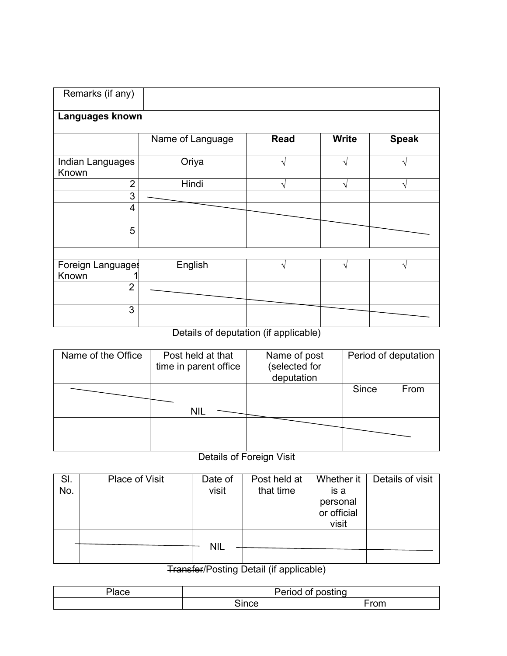| Name of Language | <b>Read</b>                          | <b>Write</b>      | <b>Speak</b>                  |
|------------------|--------------------------------------|-------------------|-------------------------------|
| Oriya            |                                      | ٦                 |                               |
| Hindi            | V                                    | V                 | V                             |
|                  |                                      |                   |                               |
|                  |                                      |                   |                               |
|                  |                                      |                   |                               |
|                  |                                      |                   |                               |
| English          | ٦                                    | N                 | V                             |
|                  |                                      |                   |                               |
|                  |                                      |                   |                               |
|                  | Languages known<br>Foreign Languages | .<br>$\mathbf{r}$ | $\mathbf{r}$ and $\mathbf{r}$ |

Details of deputation (if applicable)

| Name of the Office | Post held at that<br>time in parent office | Name of post<br>(selected for<br>deputation |       | Period of deputation |
|--------------------|--------------------------------------------|---------------------------------------------|-------|----------------------|
|                    | <b>NIL</b>                                 |                                             | Since | From                 |
|                    |                                            |                                             |       |                      |

## Details of Foreign Visit

| SI. | Place of Visit | Date of    | Post held at | Whether it  | Details of visit |
|-----|----------------|------------|--------------|-------------|------------------|
| No. |                | visit      | that time    | is a        |                  |
|     |                |            |              | personal    |                  |
|     |                |            |              | or official |                  |
|     |                |            |              | visit       |                  |
|     |                |            |              |             |                  |
|     |                | <b>NIL</b> |              |             |                  |
|     |                |            |              |             |                  |
|     |                |            |              |             |                  |

Transfer/Posting Detail (if applicable)

| $\sim$ $\sim$ $\sim$<br>'lace | າ - - - - -<br>ено<br><br>н | posting        |
|-------------------------------|-----------------------------|----------------|
|                               | since                       | r <sub>0</sub> |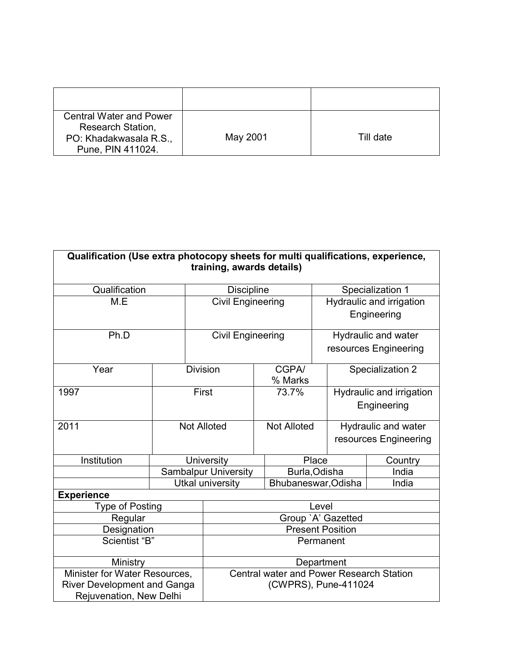| <b>Central Water and Power</b><br>Research Station,<br>PO: Khadakwasala R.S.,<br>Pune, PIN 411024. | May 2001 | Till date |
|----------------------------------------------------------------------------------------------------|----------|-----------|

| Qualification (Use extra photocopy sheets for multi qualifications, experience,<br>training, awards details) |                                          |                             |  |                     |                  |                          |                          |  |  |
|--------------------------------------------------------------------------------------------------------------|------------------------------------------|-----------------------------|--|---------------------|------------------|--------------------------|--------------------------|--|--|
| Qualification                                                                                                | <b>Discipline</b>                        |                             |  |                     | Specialization 1 |                          |                          |  |  |
| M.E                                                                                                          |                                          | <b>Civil Engineering</b>    |  |                     |                  |                          | Hydraulic and irrigation |  |  |
|                                                                                                              |                                          |                             |  |                     | Engineering      |                          |                          |  |  |
| Ph.D                                                                                                         |                                          | <b>Civil Engineering</b>    |  |                     |                  |                          | Hydraulic and water      |  |  |
|                                                                                                              |                                          |                             |  |                     |                  |                          | resources Engineering    |  |  |
| Year                                                                                                         |                                          | <b>Division</b>             |  | CGPA/               |                  |                          | Specialization 2         |  |  |
|                                                                                                              |                                          |                             |  | % Marks             |                  |                          |                          |  |  |
| 1997                                                                                                         |                                          | First                       |  | 73.7%               |                  | Hydraulic and irrigation |                          |  |  |
|                                                                                                              |                                          |                             |  |                     |                  |                          | Engineering              |  |  |
|                                                                                                              |                                          |                             |  | <b>Not Alloted</b>  |                  |                          |                          |  |  |
| 2011                                                                                                         |                                          | <b>Not Alloted</b>          |  |                     |                  | Hydraulic and water      |                          |  |  |
|                                                                                                              |                                          |                             |  |                     |                  | resources Engineering    |                          |  |  |
| Institution                                                                                                  | University                               |                             |  | Place               |                  |                          | Country                  |  |  |
|                                                                                                              |                                          | <b>Sambalpur University</b> |  | Burla, Odisha       |                  |                          | India                    |  |  |
|                                                                                                              |                                          | <b>Utkal university</b>     |  | Bhubaneswar, Odisha |                  |                          | India                    |  |  |
| <b>Experience</b>                                                                                            |                                          |                             |  |                     |                  |                          |                          |  |  |
| <b>Type of Posting</b>                                                                                       |                                          | Level                       |  |                     |                  |                          |                          |  |  |
| Regular                                                                                                      |                                          |                             |  |                     |                  | Group 'A' Gazetted       |                          |  |  |
| Designation                                                                                                  |                                          | <b>Present Position</b>     |  |                     |                  |                          |                          |  |  |
| Scientist "B"                                                                                                | Permanent                                |                             |  |                     |                  |                          |                          |  |  |
| Ministry                                                                                                     | Department                               |                             |  |                     |                  |                          |                          |  |  |
| Minister for Water Resources,                                                                                | Central water and Power Research Station |                             |  |                     |                  |                          |                          |  |  |
| <b>River Development and Ganga</b>                                                                           |                                          | (CWPRS), Pune-411024        |  |                     |                  |                          |                          |  |  |
| Rejuvenation, New Delhi                                                                                      |                                          |                             |  |                     |                  |                          |                          |  |  |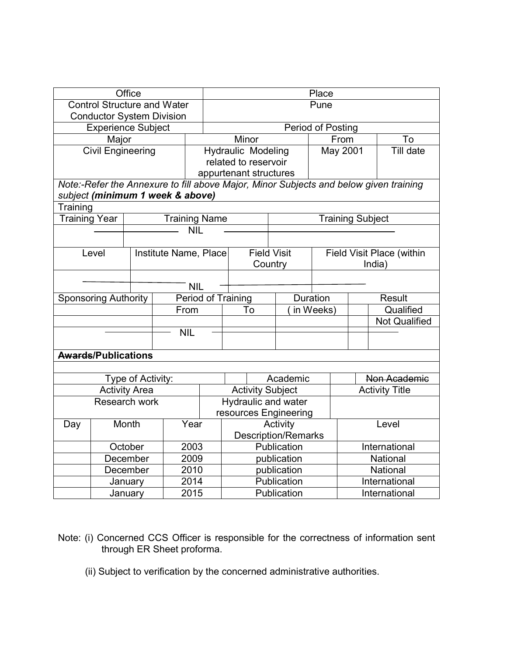| Office                             |                             |                      |                                  |                      | Place                     |                            |           |                                  |                                                                                       |  |  |
|------------------------------------|-----------------------------|----------------------|----------------------------------|----------------------|---------------------------|----------------------------|-----------|----------------------------------|---------------------------------------------------------------------------------------|--|--|
| <b>Control Structure and Water</b> |                             |                      |                                  |                      | Pune                      |                            |           |                                  |                                                                                       |  |  |
|                                    |                             |                      | <b>Conductor System Division</b> |                      |                           |                            |           |                                  |                                                                                       |  |  |
| <b>Experience Subject</b>          |                             |                      |                                  |                      | Period of Posting         |                            |           |                                  |                                                                                       |  |  |
|                                    | Major                       |                      |                                  |                      | Minor                     |                            |           | From                             | To                                                                                    |  |  |
|                                    | <b>Civil Engineering</b>    |                      |                                  |                      | <b>Hydraulic Modeling</b> |                            |           | May 2001                         | $\overline{T}$ ill date                                                               |  |  |
|                                    |                             |                      |                                  |                      | related to reservoir      |                            |           |                                  |                                                                                       |  |  |
|                                    |                             |                      |                                  |                      | appurtenant structures    |                            |           |                                  |                                                                                       |  |  |
|                                    |                             |                      |                                  |                      |                           |                            |           |                                  | Note:-Refer the Annexure to fill above Major, Minor Subjects and below given training |  |  |
|                                    |                             |                      | subject (minimum 1 week & above) |                      |                           |                            |           |                                  |                                                                                       |  |  |
| Training                           |                             |                      |                                  |                      |                           |                            |           |                                  |                                                                                       |  |  |
| <b>Training Year</b>               |                             |                      |                                  | <b>Training Name</b> |                           |                            |           | <b>Training Subject</b>          |                                                                                       |  |  |
|                                    |                             |                      |                                  | <b>NIL</b>           |                           |                            |           |                                  |                                                                                       |  |  |
|                                    |                             |                      |                                  |                      |                           |                            |           |                                  |                                                                                       |  |  |
|                                    | Level                       |                      | Institute Name, Place            |                      |                           | <b>Field Visit</b>         |           | <b>Field Visit Place (within</b> |                                                                                       |  |  |
|                                    |                             |                      |                                  |                      |                           | Country                    |           | India)                           |                                                                                       |  |  |
|                                    |                             |                      |                                  |                      |                           |                            |           |                                  |                                                                                       |  |  |
|                                    |                             |                      |                                  | <b>NIL</b>           |                           |                            |           |                                  |                                                                                       |  |  |
|                                    | <b>Sponsoring Authority</b> |                      |                                  | Period of Training   |                           | Duration                   |           | <b>Result</b>                    |                                                                                       |  |  |
|                                    |                             |                      | From                             |                      | To                        |                            | in Weeks) | Qualified                        |                                                                                       |  |  |
|                                    |                             |                      |                                  |                      |                           |                            |           |                                  | <b>Not Qualified</b>                                                                  |  |  |
|                                    |                             |                      | <b>NIL</b>                       |                      |                           |                            |           |                                  |                                                                                       |  |  |
|                                    |                             |                      |                                  |                      |                           |                            |           |                                  |                                                                                       |  |  |
|                                    | <b>Awards/Publications</b>  |                      |                                  |                      |                           |                            |           |                                  |                                                                                       |  |  |
|                                    |                             |                      |                                  |                      |                           |                            |           |                                  |                                                                                       |  |  |
|                                    |                             | Type of Activity:    |                                  |                      | Academic                  |                            |           | Non Academic                     |                                                                                       |  |  |
|                                    |                             | <b>Activity Area</b> |                                  |                      | <b>Activity Subject</b>   |                            |           | <b>Activity Title</b>            |                                                                                       |  |  |
|                                    | Research work               |                      |                                  |                      | Hydraulic and water       |                            |           |                                  |                                                                                       |  |  |
|                                    |                             |                      |                                  |                      | resources Engineering     |                            |           |                                  |                                                                                       |  |  |
| Day                                |                             | Month                | Year                             |                      |                           | Activity                   |           | Level                            |                                                                                       |  |  |
|                                    |                             |                      |                                  |                      |                           | <b>Description/Remarks</b> |           |                                  |                                                                                       |  |  |
|                                    | October                     |                      |                                  | 2003                 |                           | Publication                |           |                                  | International                                                                         |  |  |
|                                    | December                    |                      | 2009                             |                      |                           | publication                |           |                                  | National                                                                              |  |  |
|                                    |                             | December             | 2010                             |                      |                           | publication                |           | National                         |                                                                                       |  |  |
|                                    |                             | January              | 2014                             |                      |                           | Publication                |           | International                    |                                                                                       |  |  |
|                                    |                             | January              | 2015                             |                      | Publication               |                            |           | International                    |                                                                                       |  |  |

- Note: (i) Concerned CCS Officer is responsible for the correctness of information sent through ER Sheet proforma.
	- (ii) Subject to verification by the concerned administrative authorities.